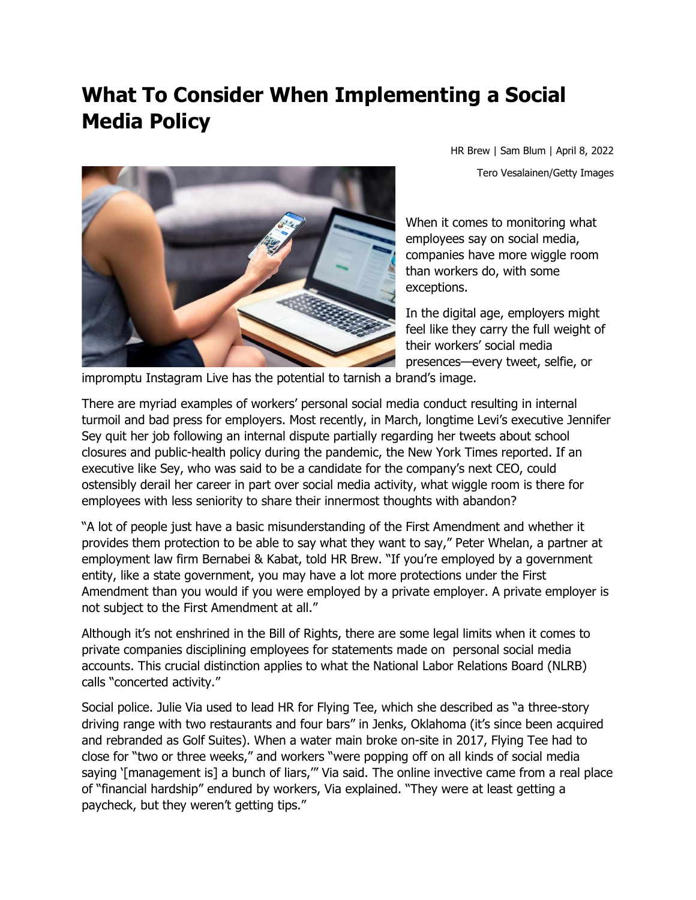## **What To Consider When Implementing a Social Media Policy**



HR Brew | Sam Blum | April 8, 2022 Tero Vesalainen/Getty Images

When it comes to monitoring what employees say on social media, companies have more wiggle room than workers do, with some exceptions.

In the digital age, employers might feel like they carry the full weight of their workers' social media presences—every tweet, selfie, or

impromptu Instagram Live has the potential to tarnish a brand's image.

There are myriad examples of workers' personal social media conduct resulting in internal turmoil and bad press for employers. Most recently, in March, longtime Levi's executive Jennifer Sey quit her job following an internal dispute partially regarding her tweets about school closures and public-health policy during the pandemic, the New York Times reported. If an executive like Sey, who was said to be a candidate for the company's next CEO, could ostensibly derail her career in part over social media activity, what wiggle room is there for employees with less seniority to share their innermost thoughts with abandon?

"A lot of people just have a basic misunderstanding of the First Amendment and whether it provides them protection to be able to say what they want to say," Peter Whelan, a partner at employment law firm Bernabei & Kabat, told HR Brew. "If you're employed by a government entity, like a state government, you may have a lot more protections under the First Amendment than you would if you were employed by a private employer. A private employer is not subject to the First Amendment at all."

Although it's not enshrined in the Bill of Rights, there are some legal limits when it comes to private companies disciplining employees for statements made on personal social media accounts. This crucial distinction applies to what the National Labor Relations Board (NLRB) calls "concerted activity."

Social police. Julie Via used to lead HR for Flying Tee, which she described as "a three-story driving range with two restaurants and four bars" in Jenks, Oklahoma (it's since been acquired and rebranded as Golf Suites). When a water main broke on-site in 2017, Flying Tee had to close for "two or three weeks," and workers "were popping off on all kinds of social media saying '[management is] a bunch of liars,"" Via said. The online invective came from a real place of "financial hardship" endured by workers, Via explained. "They were at least getting a paycheck, but they weren't getting tips."